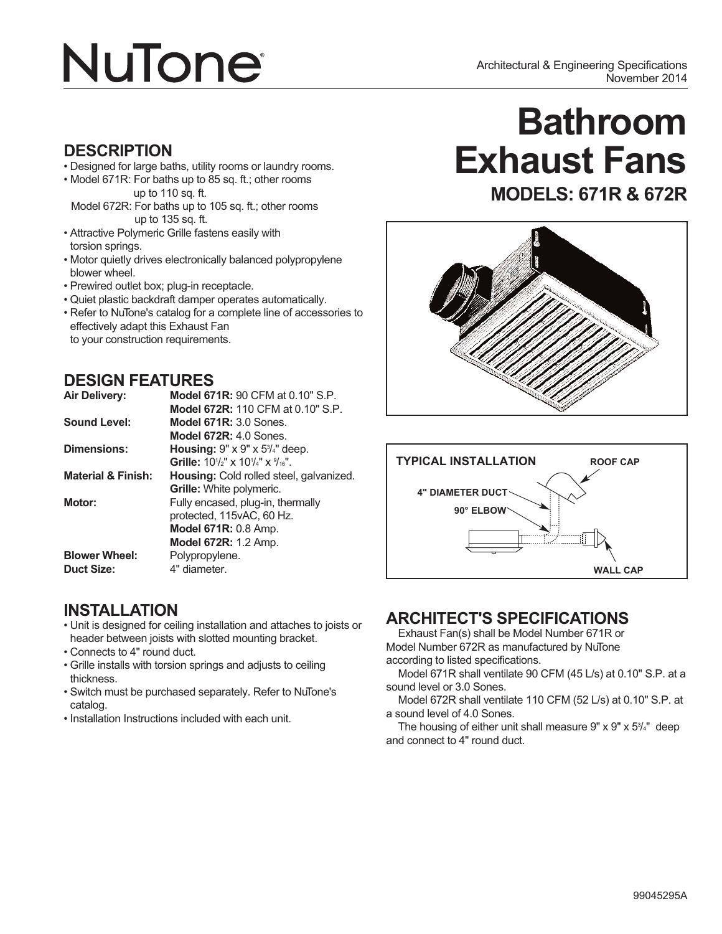# **NuTone**

### **DESCRIPTION**

- Designed for large baths, utility rooms or laundry rooms.
- Model 671R: For baths up to 85 sq. ft.; other rooms up to 110 sq. ft.
- Model 672R: For baths up to 105 sq. ft.; other rooms up to 135 sq. ft.
- Attractive Polymeric Grille fastens easily with torsion springs.
- Motor quietly drives electronically balanced polypropylene blower wheel.
- Prewired outlet box; plug-in receptacle.
- Quiet plastic backdraft damper operates automatically.
- Refer to NuTone's catalog for a complete line of accessories to effectively adapt this Exhaust Fan to your construction requirements.

### **DESIGN FEATURES**

| <b>Air Delivery:</b>          | <b>Model 671R: 90 CFM at 0.10" S.P.</b>                                  |
|-------------------------------|--------------------------------------------------------------------------|
|                               | Model 672R: 110 CFM at 0.10" S.P.                                        |
| Sound Level:                  | <b>Model 671R: 3.0 Sones.</b>                                            |
|                               | Model $672R: 4.0$ Sones.                                                 |
| Dimensions:                   | <b>Housing:</b> $9" \times 9" \times 5\frac{3}{4"$ deep.                 |
|                               | <b>Grille:</b> $10\frac{1}{2}$ " x $10\frac{1}{4}$ " x $\frac{9}{16}$ ". |
| <b>Material &amp; Finish:</b> | <b>Housing:</b> Cold rolled steel, galvanized.                           |
|                               | <b>Grille:</b> White polymeric.                                          |
| Motor:                        | Fully encased, plug-in, thermally                                        |
|                               | protected, 115vAC, 60 Hz.                                                |
|                               | <b>Model 671R: 0.8 Amp.</b>                                              |
|                               | <b>Model 672R: 1.2 Amp.</b>                                              |
| <b>Blower Wheel:</b>          | Polypropylene.                                                           |
| <b>Duct Size:</b>             | 4" diameter.                                                             |

### **INSTALLATION**

- Unit is designed for ceiling installation and attaches to joists or header between joists with slotted mounting bracket.
- Connects to 4" round duct.
- Grille installs with torsion springs and adjusts to ceiling thickness.
- Switch must be purchased separately. Refer to NuTone's catalog.
- Installation Instructions included with each unit.

## **Bathroom Exhaust Fans MODELS: 671R & 672R**





### **ARCHITECT'S SPECIFICATIONS**

Exhaust Fan(s) shall be Model Number 671R or Model Number 672R as manufactured by NuTone according to listed specifications.

Model 671R shall ventilate 90 CFM (45 L/s) at 0.10" S.P. at a sound level or 3.0 Sones.

Model 672R shall ventilate 110 CFM (52 L/s) at 0.10" S.P. at a sound level of 4.0 Sones.

The housing of either unit shall measure 9" x 9" x 53 /4" deep and connect to 4" round duct.